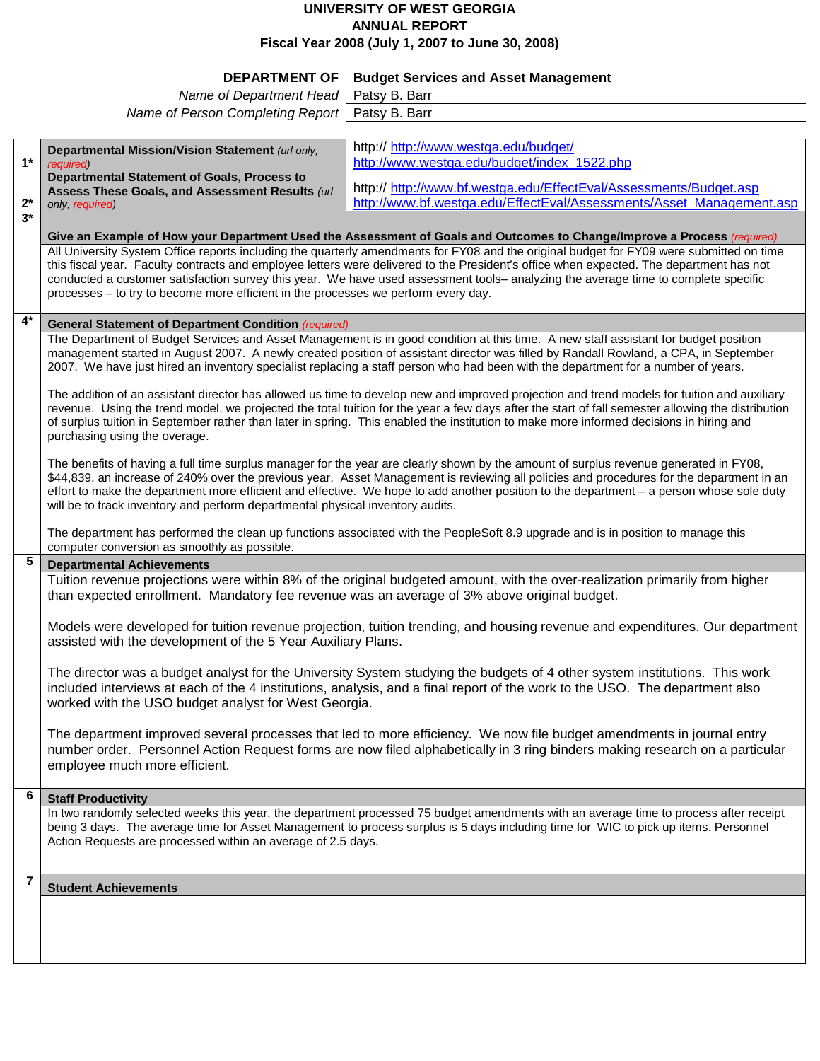## **UNIVERSITY OF WEST GEORGIA ANNUAL REPORT Fiscal Year 2008 (July 1, 2007 to June 30, 2008)**

## **DEPARTMENT OF Budget Services and Asset Management**

|                                                | $-$ - $\cdots$ - $\cdots$ - $\cdots$ - $\cdots$ - $\cdots$ - $\cdots$ - $\cdots$ - $\cdots$ - $\cdots$ - $\cdots$ - $\cdots$ - $\cdots$ |
|------------------------------------------------|-----------------------------------------------------------------------------------------------------------------------------------------|
| Name of Department Head Patsy B. Barr          |                                                                                                                                         |
| Name of Person Completing Report Patsy B. Barr |                                                                                                                                         |
|                                                |                                                                                                                                         |

| $1^*$                   | Departmental Mission/Vision Statement (url only,<br>required)                                                                                                                                                                                                                                                                                                                                                                                                                                                   | http:// http://www.westga.edu/budget/<br>http://www.westga.edu/budget/index_1522.php                                                                                                                                                                                         |  |
|-------------------------|-----------------------------------------------------------------------------------------------------------------------------------------------------------------------------------------------------------------------------------------------------------------------------------------------------------------------------------------------------------------------------------------------------------------------------------------------------------------------------------------------------------------|------------------------------------------------------------------------------------------------------------------------------------------------------------------------------------------------------------------------------------------------------------------------------|--|
|                         | <b>Departmental Statement of Goals, Process to</b>                                                                                                                                                                                                                                                                                                                                                                                                                                                              |                                                                                                                                                                                                                                                                              |  |
| $2^*$                   | Assess These Goals, and Assessment Results (url                                                                                                                                                                                                                                                                                                                                                                                                                                                                 | http:// http://www.bf.westga.edu/EffectEval/Assessments/Budget.asp<br>http://www.bf.westga.edu/EffectEval/Assessments/Asset_Management.asp                                                                                                                                   |  |
| $3*$                    | only, required)                                                                                                                                                                                                                                                                                                                                                                                                                                                                                                 |                                                                                                                                                                                                                                                                              |  |
|                         | Give an Example of How your Department Used the Assessment of Goals and Outcomes to Change/Improve a Process (required)                                                                                                                                                                                                                                                                                                                                                                                         |                                                                                                                                                                                                                                                                              |  |
|                         |                                                                                                                                                                                                                                                                                                                                                                                                                                                                                                                 | All University System Office reports including the quarterly amendments for FY08 and the original budget for FY09 were submitted on time                                                                                                                                     |  |
|                         | this fiscal year. Faculty contracts and employee letters were delivered to the President's office when expected. The department has not                                                                                                                                                                                                                                                                                                                                                                         |                                                                                                                                                                                                                                                                              |  |
|                         | conducted a customer satisfaction survey this year. We have used assessment tools- analyzing the average time to complete specific<br>processes - to try to become more efficient in the processes we perform every day.                                                                                                                                                                                                                                                                                        |                                                                                                                                                                                                                                                                              |  |
|                         |                                                                                                                                                                                                                                                                                                                                                                                                                                                                                                                 |                                                                                                                                                                                                                                                                              |  |
| $4*$                    | <b>General Statement of Department Condition (required)</b>                                                                                                                                                                                                                                                                                                                                                                                                                                                     |                                                                                                                                                                                                                                                                              |  |
|                         | The Department of Budget Services and Asset Management is in good condition at this time. A new staff assistant for budget position<br>management started in August 2007. A newly created position of assistant director was filled by Randall Rowland, a CPA, in September<br>2007. We have just hired an inventory specialist replacing a staff person who had been with the department for a number of years.                                                                                                |                                                                                                                                                                                                                                                                              |  |
|                         | The addition of an assistant director has allowed us time to develop new and improved projection and trend models for tuition and auxiliary<br>revenue. Using the trend model, we projected the total tuition for the year a few days after the start of fall semester allowing the distribution<br>of surplus tuition in September rather than later in spring. This enabled the institution to make more informed decisions in hiring and<br>purchasing using the overage.                                    |                                                                                                                                                                                                                                                                              |  |
|                         | The benefits of having a full time surplus manager for the year are clearly shown by the amount of surplus revenue generated in FY08,<br>\$44,839, an increase of 240% over the previous year. Asset Management is reviewing all policies and procedures for the department in an<br>effort to make the department more efficient and effective. We hope to add another position to the department - a person whose sole duty<br>will be to track inventory and perform departmental physical inventory audits. |                                                                                                                                                                                                                                                                              |  |
|                         | computer conversion as smoothly as possible.                                                                                                                                                                                                                                                                                                                                                                                                                                                                    | The department has performed the clean up functions associated with the PeopleSoft 8.9 upgrade and is in position to manage this                                                                                                                                             |  |
| 5                       | <b>Departmental Achievements</b>                                                                                                                                                                                                                                                                                                                                                                                                                                                                                |                                                                                                                                                                                                                                                                              |  |
|                         | Tuition revenue projections were within 8% of the original budgeted amount, with the over-realization primarily from higher<br>than expected enrollment. Mandatory fee revenue was an average of 3% above original budget.                                                                                                                                                                                                                                                                                      |                                                                                                                                                                                                                                                                              |  |
|                         | Models were developed for tuition revenue projection, tuition trending, and housing revenue and expenditures. Our department<br>assisted with the development of the 5 Year Auxiliary Plans.                                                                                                                                                                                                                                                                                                                    |                                                                                                                                                                                                                                                                              |  |
|                         | The director was a budget analyst for the University System studying the budgets of 4 other system institutions. This work<br>included interviews at each of the 4 institutions, analysis, and a final report of the work to the USO. The department also<br>worked with the USO budget analyst for West Georgia.                                                                                                                                                                                               |                                                                                                                                                                                                                                                                              |  |
|                         | The department improved several processes that led to more efficiency. We now file budget amendments in journal entry<br>number order. Personnel Action Request forms are now filed alphabetically in 3 ring binders making research on a particular<br>employee much more efficient.                                                                                                                                                                                                                           |                                                                                                                                                                                                                                                                              |  |
| 6                       | <b>Staff Productivity</b>                                                                                                                                                                                                                                                                                                                                                                                                                                                                                       |                                                                                                                                                                                                                                                                              |  |
|                         | Action Requests are processed within an average of 2.5 days.                                                                                                                                                                                                                                                                                                                                                                                                                                                    | In two randomly selected weeks this year, the department processed 75 budget amendments with an average time to process after receipt<br>being 3 days. The average time for Asset Management to process surplus is 5 days including time for WIC to pick up items. Personnel |  |
| $\overline{\mathbf{r}}$ | <b>Student Achievements</b>                                                                                                                                                                                                                                                                                                                                                                                                                                                                                     |                                                                                                                                                                                                                                                                              |  |
|                         |                                                                                                                                                                                                                                                                                                                                                                                                                                                                                                                 |                                                                                                                                                                                                                                                                              |  |
|                         |                                                                                                                                                                                                                                                                                                                                                                                                                                                                                                                 |                                                                                                                                                                                                                                                                              |  |
|                         |                                                                                                                                                                                                                                                                                                                                                                                                                                                                                                                 |                                                                                                                                                                                                                                                                              |  |
|                         |                                                                                                                                                                                                                                                                                                                                                                                                                                                                                                                 |                                                                                                                                                                                                                                                                              |  |